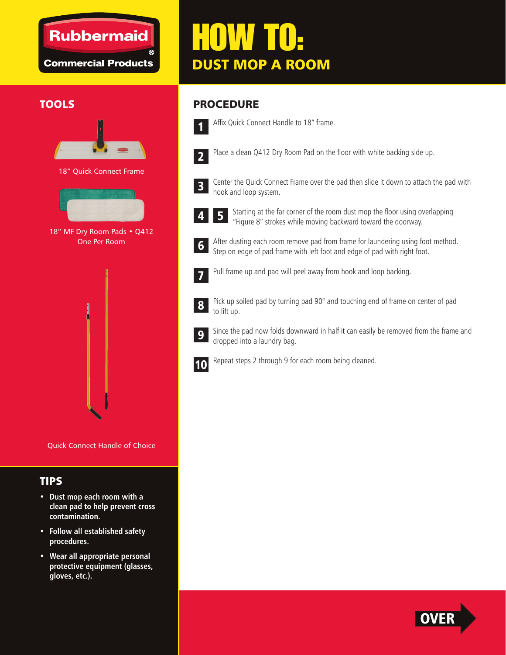## **Rubbermaid**

**Commercial Products** 

# HOW TO: DUST MOP A ROOM



18" Quick Connect Frame



18" MF Dry Room Pads . Q412 One Per Room



Quick Connect Handle of Choice

#### TIPS

- **Dust mop each room with a clean pad to help prevent cross contamination.**
- **Follow all established safety procedures.**
- **Wear all appropriate personal protective equipment (glasses, gloves, etc.).**

### TOOLS PROCEDURE



- Affix Quick Connect Handle to 18" frame.
- 2
- 

Place a clean Q412 Dry Room Pad on the floor with white backing side up.



Center the Quick Connect Frame over the pad then slide it down to attach the pad with hook and loop system.



Starting at the far corner of the room dust mop the floor using overlapping "Figure 8" strokes while moving backward toward the doorway. 4 5

After dusting each room remove pad from frame for laundering using foot method. Step on edge of pad frame with left foot and edge of pad with right foot.



6

Pull frame up and pad will peel away from hook and loop backing.



Pick up soiled pad by turning pad 90° and touching end of frame on center of pad to lift up.



Since the pad now folds downward in half it can easily be removed from the frame and dropped into a laundry bag.



Repeat steps 2 through 9 for each room being cleaned.